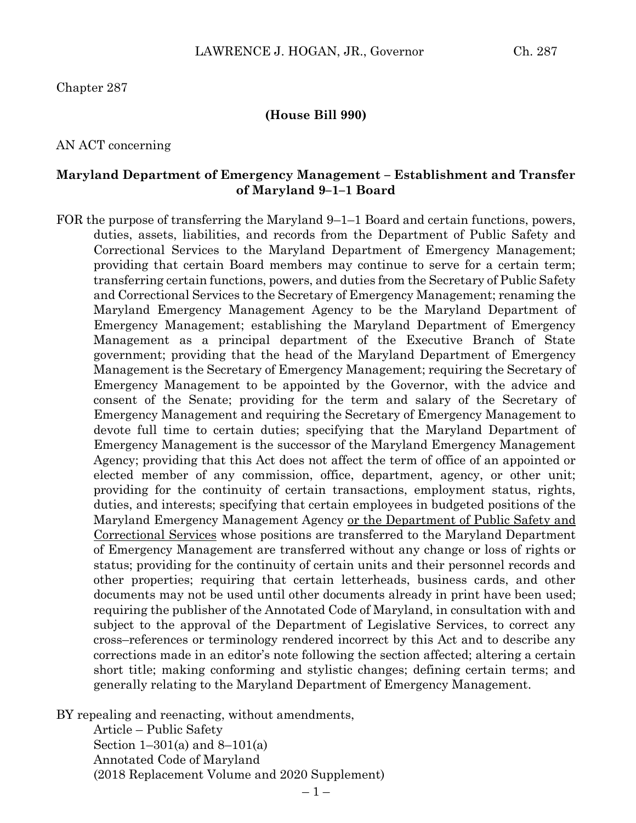Chapter 287

#### **(House Bill 990)**

#### AN ACT concerning

#### **Maryland Department of Emergency Management – Establishment and Transfer of Maryland 9–1–1 Board**

FOR the purpose of transferring the Maryland 9–1–1 Board and certain functions, powers, duties, assets, liabilities, and records from the Department of Public Safety and Correctional Services to the Maryland Department of Emergency Management; providing that certain Board members may continue to serve for a certain term; transferring certain functions, powers, and duties from the Secretary of Public Safety and Correctional Services to the Secretary of Emergency Management; renaming the Maryland Emergency Management Agency to be the Maryland Department of Emergency Management; establishing the Maryland Department of Emergency Management as a principal department of the Executive Branch of State government; providing that the head of the Maryland Department of Emergency Management is the Secretary of Emergency Management; requiring the Secretary of Emergency Management to be appointed by the Governor, with the advice and consent of the Senate; providing for the term and salary of the Secretary of Emergency Management and requiring the Secretary of Emergency Management to devote full time to certain duties; specifying that the Maryland Department of Emergency Management is the successor of the Maryland Emergency Management Agency; providing that this Act does not affect the term of office of an appointed or elected member of any commission, office, department, agency, or other unit; providing for the continuity of certain transactions, employment status, rights, duties, and interests; specifying that certain employees in budgeted positions of the Maryland Emergency Management Agency or the Department of Public Safety and Correctional Services whose positions are transferred to the Maryland Department of Emergency Management are transferred without any change or loss of rights or status; providing for the continuity of certain units and their personnel records and other properties; requiring that certain letterheads, business cards, and other documents may not be used until other documents already in print have been used; requiring the publisher of the Annotated Code of Maryland, in consultation with and subject to the approval of the Department of Legislative Services, to correct any cross–references or terminology rendered incorrect by this Act and to describe any corrections made in an editor's note following the section affected; altering a certain short title; making conforming and stylistic changes; defining certain terms; and generally relating to the Maryland Department of Emergency Management.

BY repealing and reenacting, without amendments,

Article – Public Safety Section 1–301(a) and 8–101(a) Annotated Code of Maryland (2018 Replacement Volume and 2020 Supplement)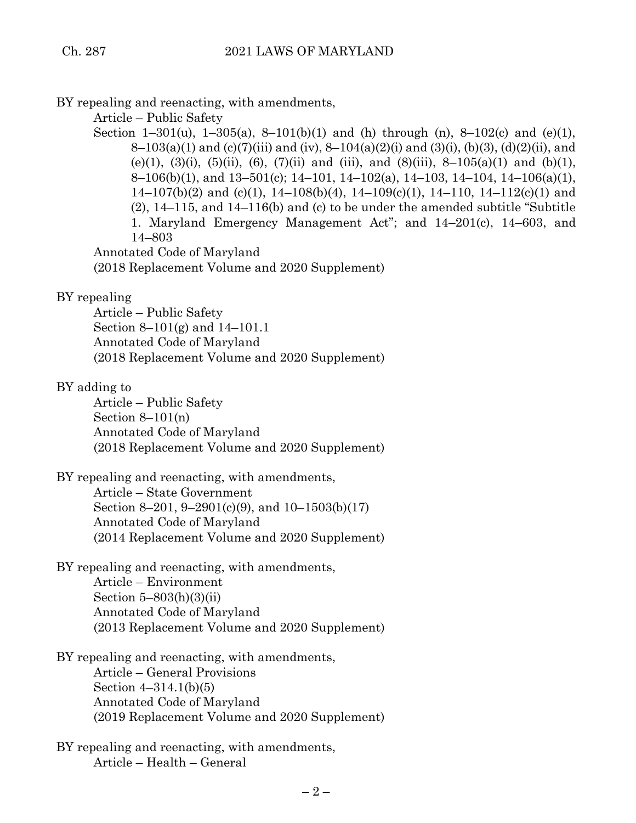BY repealing and reenacting, with amendments,

Article – Public Safety

Section 1–301(u), 1–305(a), 8–101(b)(1) and (h) through (n), 8–102(c) and (e)(1), 8–103(a)(1) and (c)(7)(iii) and (iv), 8–104(a)(2)(i) and (3)(i), (b)(3), (d)(2)(ii), and (e)(1), (3)(i), (5)(ii), (6), (7)(ii) and (iii), and (8)(iii), 8-105(a)(1) and (b)(1), 8–106(b)(1), and 13–501(c); 14–101, 14–102(a), 14–103, 14–104, 14–106(a)(1),  $14-107(b)(2)$  and (c)(1),  $14-108(b)(4)$ ,  $14-109(c)(1)$ ,  $14-110$ ,  $14-112(c)(1)$  and (2), 14–115, and 14–116(b) and (c) to be under the amended subtitle "Subtitle 1. Maryland Emergency Management Act"; and 14–201(c), 14–603, and 14–803

Annotated Code of Maryland (2018 Replacement Volume and 2020 Supplement)

## BY repealing

Article – Public Safety Section 8–101(g) and 14–101.1 Annotated Code of Maryland (2018 Replacement Volume and 2020 Supplement)

# BY adding to

Article – Public Safety Section  $8-101(n)$ Annotated Code of Maryland (2018 Replacement Volume and 2020 Supplement)

BY repealing and reenacting, with amendments, Article – State Government

Section 8–201, 9–2901(c)(9), and 10–1503(b)(17) Annotated Code of Maryland (2014 Replacement Volume and 2020 Supplement)

BY repealing and reenacting, with amendments, Article – Environment Section 5–803(h)(3)(ii) Annotated Code of Maryland (2013 Replacement Volume and 2020 Supplement)

BY repealing and reenacting, with amendments, Article – General Provisions Section 4–314.1(b)(5) Annotated Code of Maryland (2019 Replacement Volume and 2020 Supplement)

BY repealing and reenacting, with amendments, Article – Health – General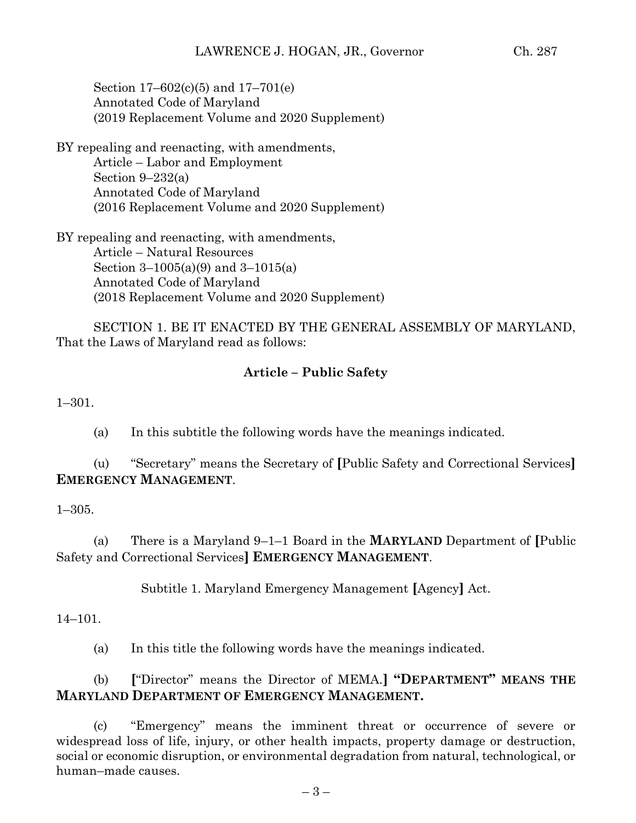Section 17–602(c)(5) and 17–701(e) Annotated Code of Maryland (2019 Replacement Volume and 2020 Supplement)

BY repealing and reenacting, with amendments, Article – Labor and Employment Section  $9-232(a)$ Annotated Code of Maryland (2016 Replacement Volume and 2020 Supplement)

BY repealing and reenacting, with amendments, Article – Natural Resources Section 3–1005(a)(9) and 3–1015(a) Annotated Code of Maryland (2018 Replacement Volume and 2020 Supplement)

SECTION 1. BE IT ENACTED BY THE GENERAL ASSEMBLY OF MARYLAND, That the Laws of Maryland read as follows:

## **Article – Public Safety**

1–301.

(a) In this subtitle the following words have the meanings indicated.

(u) "Secretary" means the Secretary of **[**Public Safety and Correctional Services**] EMERGENCY MANAGEMENT**.

1–305.

(a) There is a Maryland 9–1–1 Board in the **MARYLAND** Department of **[**Public Safety and Correctional Services**] EMERGENCY MANAGEMENT**.

Subtitle 1. Maryland Emergency Management **[**Agency**]** Act.

14–101.

(a) In this title the following words have the meanings indicated.

# (b) **[**"Director" means the Director of MEMA.**] "DEPARTMENT" MEANS THE MARYLAND DEPARTMENT OF EMERGENCY MANAGEMENT.**

(c) "Emergency" means the imminent threat or occurrence of severe or widespread loss of life, injury, or other health impacts, property damage or destruction, social or economic disruption, or environmental degradation from natural, technological, or human–made causes.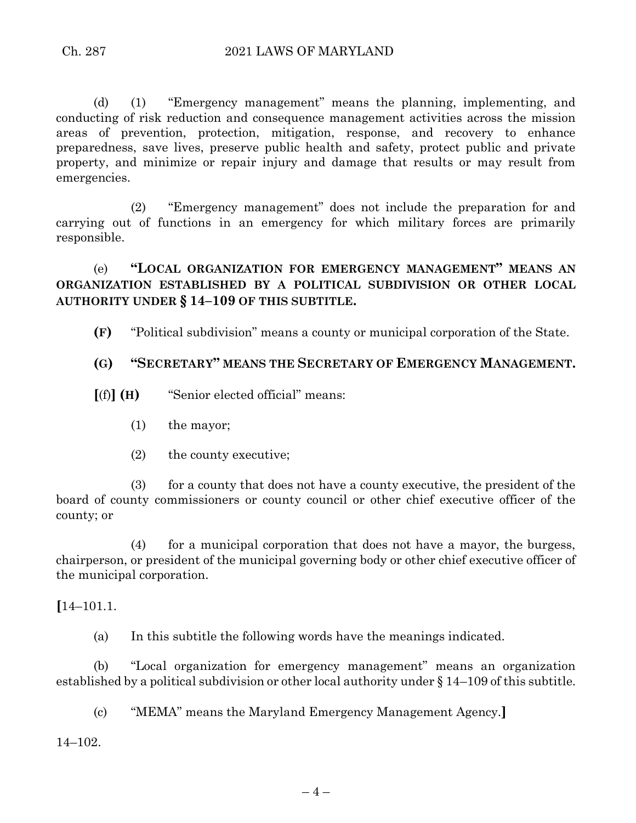(d) (1) "Emergency management" means the planning, implementing, and conducting of risk reduction and consequence management activities across the mission areas of prevention, protection, mitigation, response, and recovery to enhance preparedness, save lives, preserve public health and safety, protect public and private property, and minimize or repair injury and damage that results or may result from emergencies.

(2) "Emergency management" does not include the preparation for and carrying out of functions in an emergency for which military forces are primarily responsible.

(e) **"LOCAL ORGANIZATION FOR EMERGENCY MANAGEMENT" MEANS AN ORGANIZATION ESTABLISHED BY A POLITICAL SUBDIVISION OR OTHER LOCAL AUTHORITY UNDER § 14–109 OF THIS SUBTITLE.**

**(F)** "Political subdivision" means a county or municipal corporation of the State.

#### **(G) "SECRETARY" MEANS THE SECRETARY OF EMERGENCY MANAGEMENT.**

- **[**(f)**] (H)** "Senior elected official" means:
	- (1) the mayor;
	- (2) the county executive;

(3) for a county that does not have a county executive, the president of the board of county commissioners or county council or other chief executive officer of the county; or

(4) for a municipal corporation that does not have a mayor, the burgess, chairperson, or president of the municipal governing body or other chief executive officer of the municipal corporation.

**[**14–101.1.

(a) In this subtitle the following words have the meanings indicated.

(b) "Local organization for emergency management" means an organization established by a political subdivision or other local authority under § 14–109 of this subtitle.

(c) "MEMA" means the Maryland Emergency Management Agency.**]**

14–102.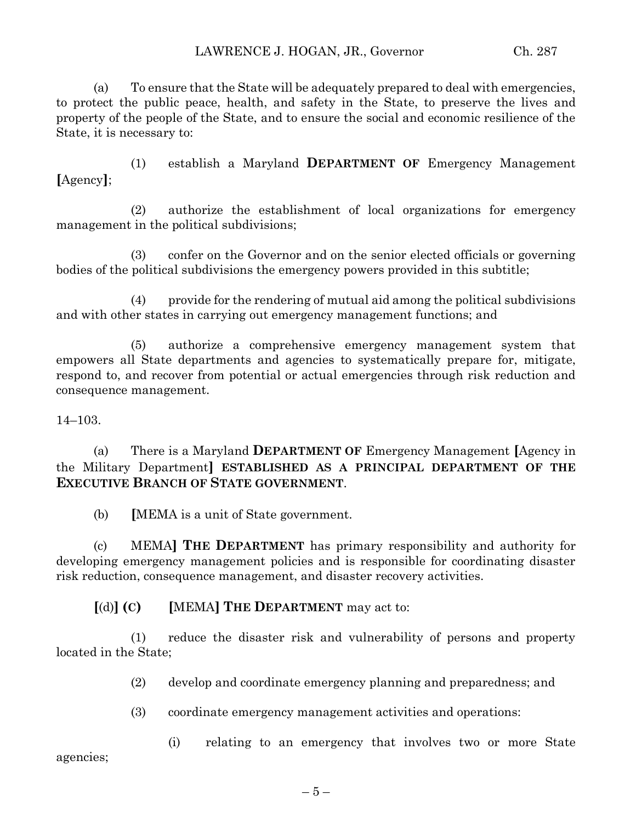(a) To ensure that the State will be adequately prepared to deal with emergencies, to protect the public peace, health, and safety in the State, to preserve the lives and property of the people of the State, and to ensure the social and economic resilience of the State, it is necessary to:

(1) establish a Maryland **DEPARTMENT OF** Emergency Management **[**Agency**]**;

(2) authorize the establishment of local organizations for emergency management in the political subdivisions;

(3) confer on the Governor and on the senior elected officials or governing bodies of the political subdivisions the emergency powers provided in this subtitle;

(4) provide for the rendering of mutual aid among the political subdivisions and with other states in carrying out emergency management functions; and

(5) authorize a comprehensive emergency management system that empowers all State departments and agencies to systematically prepare for, mitigate, respond to, and recover from potential or actual emergencies through risk reduction and consequence management.

14–103.

(a) There is a Maryland **DEPARTMENT OF** Emergency Management **[**Agency in the Military Department**] ESTABLISHED AS A PRINCIPAL DEPARTMENT OF THE EXECUTIVE BRANCH OF STATE GOVERNMENT**.

(b) **[**MEMA is a unit of State government.

(c) MEMA**] THE DEPARTMENT** has primary responsibility and authority for developing emergency management policies and is responsible for coordinating disaster risk reduction, consequence management, and disaster recovery activities.

**[**(d)**] (C) [**MEMA**] THE DEPARTMENT** may act to:

(1) reduce the disaster risk and vulnerability of persons and property located in the State;

(2) develop and coordinate emergency planning and preparedness; and

(3) coordinate emergency management activities and operations:

(i) relating to an emergency that involves two or more State

agencies;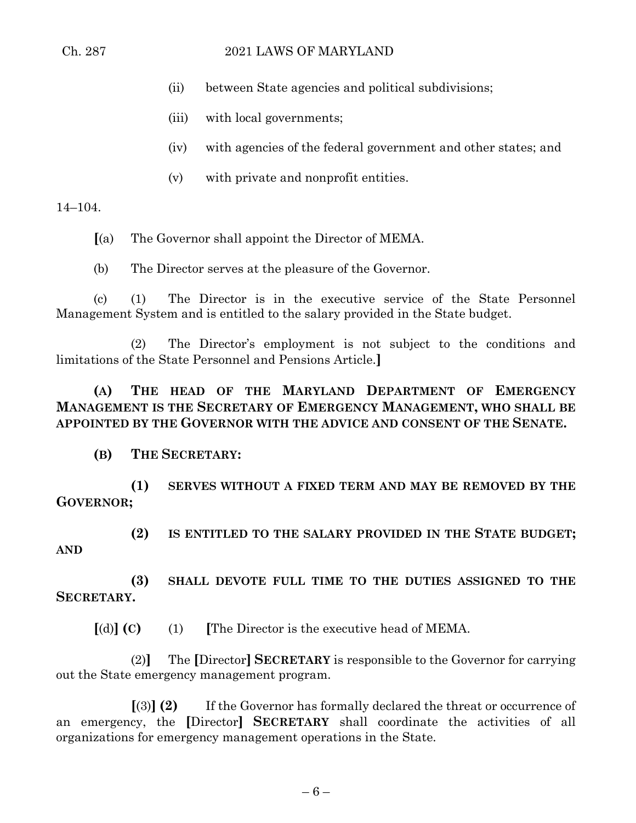#### Ch. 287 2021 LAWS OF MARYLAND

- (ii) between State agencies and political subdivisions;
- (iii) with local governments;
- (iv) with agencies of the federal government and other states; and
- (v) with private and nonprofit entities.

14–104.

**[**(a) The Governor shall appoint the Director of MEMA.

(b) The Director serves at the pleasure of the Governor.

(c) (1) The Director is in the executive service of the State Personnel Management System and is entitled to the salary provided in the State budget.

(2) The Director's employment is not subject to the conditions and limitations of the State Personnel and Pensions Article.**]**

**(A) THE HEAD OF THE MARYLAND DEPARTMENT OF EMERGENCY MANAGEMENT IS THE SECRETARY OF EMERGENCY MANAGEMENT, WHO SHALL BE APPOINTED BY THE GOVERNOR WITH THE ADVICE AND CONSENT OF THE SENATE.**

**(B) THE SECRETARY:**

**(1) SERVES WITHOUT A FIXED TERM AND MAY BE REMOVED BY THE GOVERNOR;**

**(2) IS ENTITLED TO THE SALARY PROVIDED IN THE STATE BUDGET; AND**

**(3) SHALL DEVOTE FULL TIME TO THE DUTIES ASSIGNED TO THE SECRETARY.**

**[**(d)**] (C)** (1) **[**The Director is the executive head of MEMA.

(2)**]** The **[**Director**] SECRETARY** is responsible to the Governor for carrying out the State emergency management program.

**[**(3)**] (2)** If the Governor has formally declared the threat or occurrence of an emergency, the **[**Director**] SECRETARY** shall coordinate the activities of all organizations for emergency management operations in the State.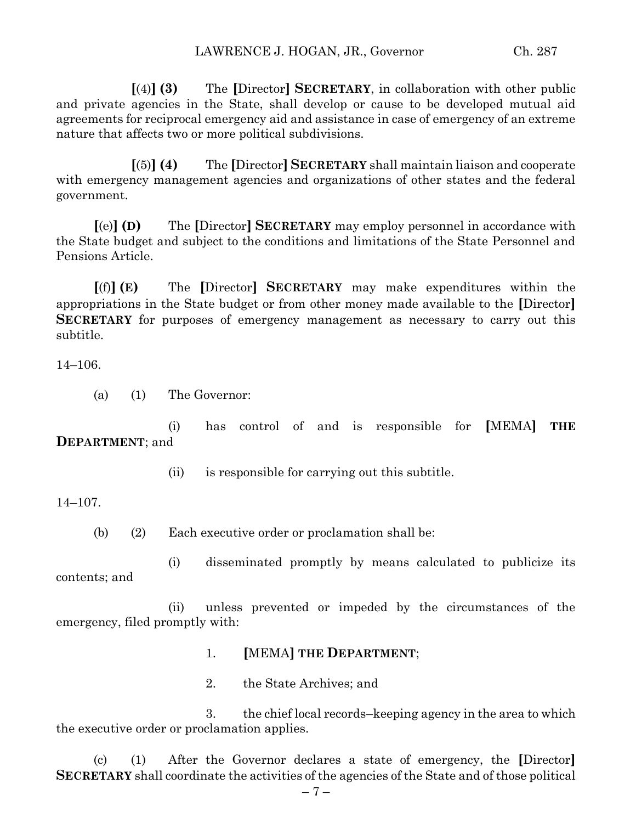**[**(4)**] (3)** The **[**Director**] SECRETARY**, in collaboration with other public and private agencies in the State, shall develop or cause to be developed mutual aid agreements for reciprocal emergency aid and assistance in case of emergency of an extreme nature that affects two or more political subdivisions.

**[**(5)**] (4)** The **[**Director**] SECRETARY** shall maintain liaison and cooperate with emergency management agencies and organizations of other states and the federal government.

**[**(e)**] (D)** The **[**Director**] SECRETARY** may employ personnel in accordance with the State budget and subject to the conditions and limitations of the State Personnel and Pensions Article.

**[**(f)**] (E)** The **[**Director**] SECRETARY** may make expenditures within the appropriations in the State budget or from other money made available to the **[**Director**] SECRETARY** for purposes of emergency management as necessary to carry out this subtitle.

14–106.

(a) (1) The Governor:

(i) has control of and is responsible for **[**MEMA**] THE DEPARTMENT**; and

(ii) is responsible for carrying out this subtitle.

14–107.

(b) (2) Each executive order or proclamation shall be:

(i) disseminated promptly by means calculated to publicize its contents; and

(ii) unless prevented or impeded by the circumstances of the emergency, filed promptly with:

- 1. **[**MEMA**] THE DEPARTMENT**;
- 2. the State Archives; and

3. the chief local records–keeping agency in the area to which the executive order or proclamation applies.

(c) (1) After the Governor declares a state of emergency, the **[**Director**] SECRETARY** shall coordinate the activities of the agencies of the State and of those political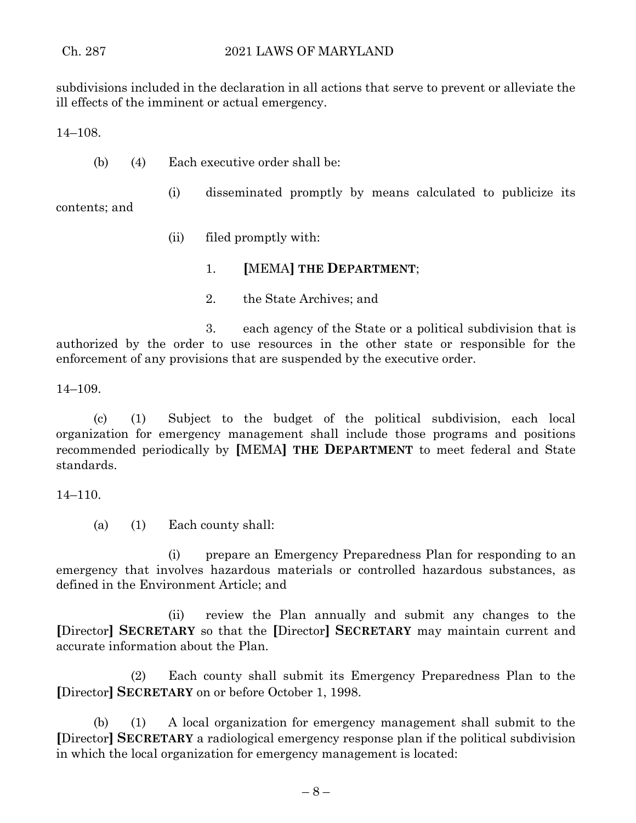subdivisions included in the declaration in all actions that serve to prevent or alleviate the ill effects of the imminent or actual emergency.

14–108.

(b) (4) Each executive order shall be:

(i) disseminated promptly by means calculated to publicize its contents; and

(ii) filed promptly with:

- 1. **[**MEMA**] THE DEPARTMENT**;
- 2. the State Archives; and

3. each agency of the State or a political subdivision that is authorized by the order to use resources in the other state or responsible for the enforcement of any provisions that are suspended by the executive order.

14–109.

(c) (1) Subject to the budget of the political subdivision, each local organization for emergency management shall include those programs and positions recommended periodically by **[**MEMA**] THE DEPARTMENT** to meet federal and State standards.

14–110.

(a) (1) Each county shall:

(i) prepare an Emergency Preparedness Plan for responding to an emergency that involves hazardous materials or controlled hazardous substances, as defined in the Environment Article; and

(ii) review the Plan annually and submit any changes to the **[**Director**] SECRETARY** so that the **[**Director**] SECRETARY** may maintain current and accurate information about the Plan.

(2) Each county shall submit its Emergency Preparedness Plan to the **[**Director**] SECRETARY** on or before October 1, 1998.

(b) (1) A local organization for emergency management shall submit to the **[**Director**] SECRETARY** a radiological emergency response plan if the political subdivision in which the local organization for emergency management is located: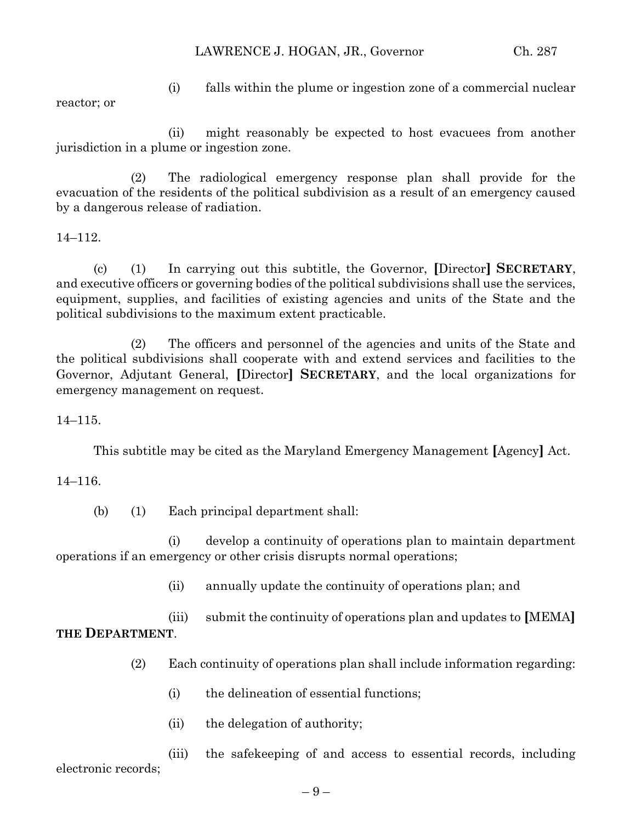reactor; or

(i) falls within the plume or ingestion zone of a commercial nuclear

(ii) might reasonably be expected to host evacuees from another jurisdiction in a plume or ingestion zone.

(2) The radiological emergency response plan shall provide for the evacuation of the residents of the political subdivision as a result of an emergency caused by a dangerous release of radiation.

14–112.

(c) (1) In carrying out this subtitle, the Governor, **[**Director**] SECRETARY**, and executive officers or governing bodies of the political subdivisions shall use the services, equipment, supplies, and facilities of existing agencies and units of the State and the political subdivisions to the maximum extent practicable.

(2) The officers and personnel of the agencies and units of the State and the political subdivisions shall cooperate with and extend services and facilities to the Governor, Adjutant General, **[**Director**] SECRETARY**, and the local organizations for emergency management on request.

14–115.

This subtitle may be cited as the Maryland Emergency Management **[**Agency**]** Act.

14–116.

(b) (1) Each principal department shall:

(i) develop a continuity of operations plan to maintain department operations if an emergency or other crisis disrupts normal operations;

(ii) annually update the continuity of operations plan; and

(iii) submit the continuity of operations plan and updates to **[**MEMA**] THE DEPARTMENT**.

- (2) Each continuity of operations plan shall include information regarding:
	- (i) the delineation of essential functions;
	- (ii) the delegation of authority;

(iii) the safekeeping of and access to essential records, including electronic records;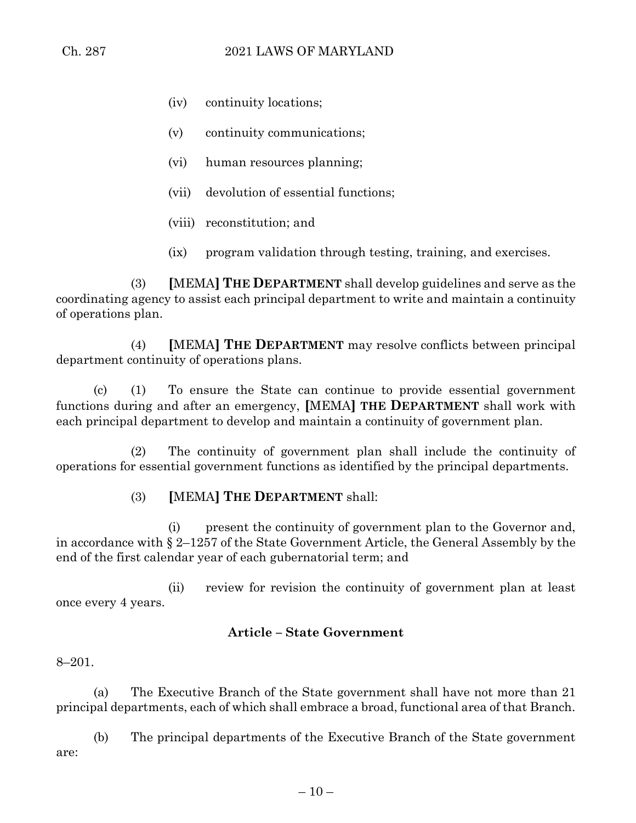- (iv) continuity locations;
- (v) continuity communications;
- (vi) human resources planning;
- (vii) devolution of essential functions;
- (viii) reconstitution; and
- (ix) program validation through testing, training, and exercises.

(3) **[**MEMA**] THE DEPARTMENT** shall develop guidelines and serve as the coordinating agency to assist each principal department to write and maintain a continuity of operations plan.

(4) **[**MEMA**] THE DEPARTMENT** may resolve conflicts between principal department continuity of operations plans.

(c) (1) To ensure the State can continue to provide essential government functions during and after an emergency, **[**MEMA**] THE DEPARTMENT** shall work with each principal department to develop and maintain a continuity of government plan.

(2) The continuity of government plan shall include the continuity of operations for essential government functions as identified by the principal departments.

(3) **[**MEMA**] THE DEPARTMENT** shall:

(i) present the continuity of government plan to the Governor and, in accordance with § 2–1257 of the State Government Article, the General Assembly by the end of the first calendar year of each gubernatorial term; and

(ii) review for revision the continuity of government plan at least once every 4 years.

#### **Article – State Government**

#### 8–201.

(a) The Executive Branch of the State government shall have not more than 21 principal departments, each of which shall embrace a broad, functional area of that Branch.

(b) The principal departments of the Executive Branch of the State government are: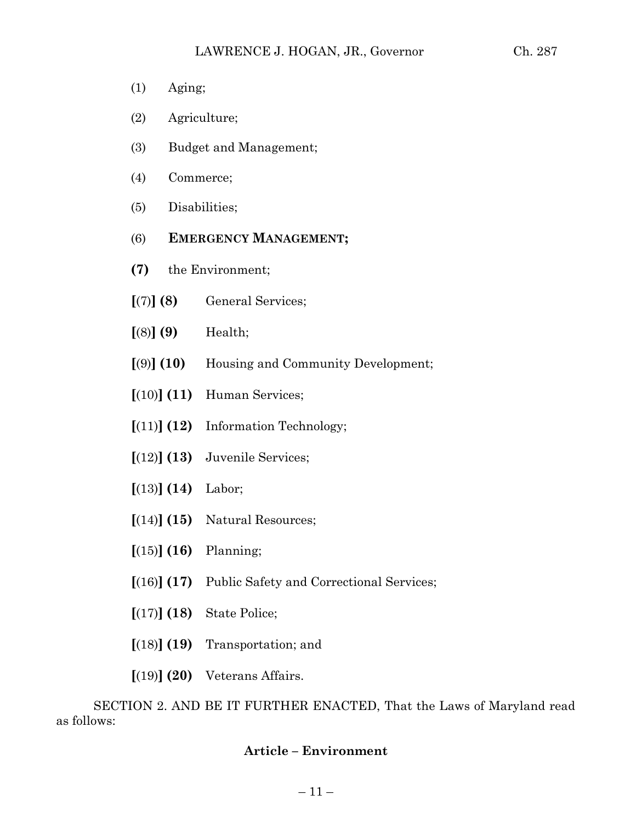- (1) Aging;
- (2) Agriculture;
- (3) Budget and Management;
- (4) Commerce;
- (5) Disabilities;
- (6) **EMERGENCY MANAGEMENT;**
- **(7)** the Environment;
- **[**(7)**] (8)** General Services;
- **[**(8)**] (9)** Health;
- **[**(9)**] (10)** Housing and Community Development;
- **[**(10)**] (11)** Human Services;
- **[**(11)**] (12)** Information Technology;
- **[**(12)**] (13)** Juvenile Services;
- **[**(13)**] (14)** Labor;
- **[**(14)**] (15)** Natural Resources;
- **[**(15)**] (16)** Planning;
- **[**(16)**] (17)** Public Safety and Correctional Services;
- **[**(17)**] (18)** State Police;
- **[**(18)**] (19)** Transportation; and
- **[**(19)**] (20)** Veterans Affairs.

SECTION 2. AND BE IT FURTHER ENACTED, That the Laws of Maryland read as follows:

# **Article – Environment**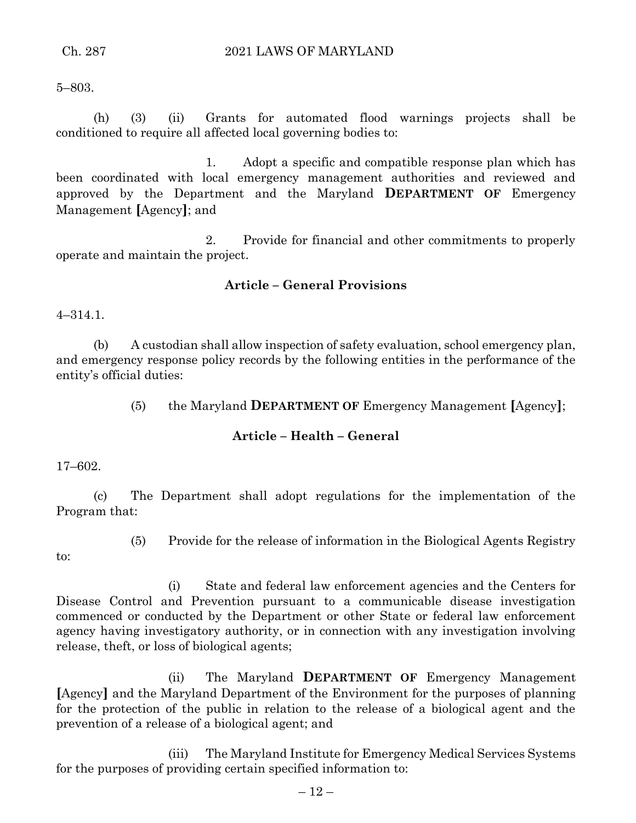5–803.

(h) (3) (ii) Grants for automated flood warnings projects shall be conditioned to require all affected local governing bodies to:

1. Adopt a specific and compatible response plan which has been coordinated with local emergency management authorities and reviewed and approved by the Department and the Maryland **DEPARTMENT OF** Emergency Management **[**Agency**]**; and

2. Provide for financial and other commitments to properly operate and maintain the project.

## **Article – General Provisions**

4–314.1.

(b) A custodian shall allow inspection of safety evaluation, school emergency plan, and emergency response policy records by the following entities in the performance of the entity's official duties:

(5) the Maryland **DEPARTMENT OF** Emergency Management **[**Agency**]**;

#### **Article – Health – General**

17–602.

(c) The Department shall adopt regulations for the implementation of the Program that:

- to:
- (5) Provide for the release of information in the Biological Agents Registry

(i) State and federal law enforcement agencies and the Centers for Disease Control and Prevention pursuant to a communicable disease investigation commenced or conducted by the Department or other State or federal law enforcement agency having investigatory authority, or in connection with any investigation involving release, theft, or loss of biological agents;

(ii) The Maryland **DEPARTMENT OF** Emergency Management **[**Agency**]** and the Maryland Department of the Environment for the purposes of planning for the protection of the public in relation to the release of a biological agent and the prevention of a release of a biological agent; and

(iii) The Maryland Institute for Emergency Medical Services Systems for the purposes of providing certain specified information to: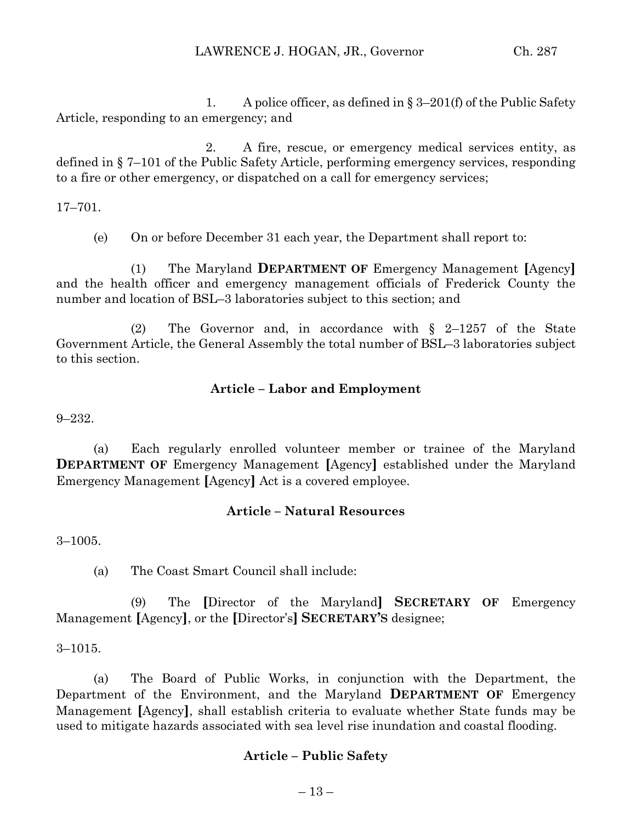1. A police officer, as defined in  $\S 3-201(f)$  of the Public Safety Article, responding to an emergency; and

2. A fire, rescue, or emergency medical services entity, as defined in § 7–101 of the Public Safety Article, performing emergency services, responding to a fire or other emergency, or dispatched on a call for emergency services;

17–701.

(e) On or before December 31 each year, the Department shall report to:

(1) The Maryland **DEPARTMENT OF** Emergency Management **[**Agency**]** and the health officer and emergency management officials of Frederick County the number and location of BSL–3 laboratories subject to this section; and

(2) The Governor and, in accordance with § 2–1257 of the State Government Article, the General Assembly the total number of BSL–3 laboratories subject to this section.

## **Article – Labor and Employment**

9–232.

(a) Each regularly enrolled volunteer member or trainee of the Maryland **DEPARTMENT OF Emergency Management <b>[Agency]** established under the Maryland Emergency Management **[**Agency**]** Act is a covered employee.

#### **Article – Natural Resources**

3–1005.

(a) The Coast Smart Council shall include:

(9) The **[**Director of the Maryland**] SECRETARY OF** Emergency Management **[**Agency**]**, or the **[**Director's**] SECRETARY'S** designee;

3–1015.

(a) The Board of Public Works, in conjunction with the Department, the Department of the Environment, and the Maryland **DEPARTMENT OF** Emergency Management **[**Agency**]**, shall establish criteria to evaluate whether State funds may be used to mitigate hazards associated with sea level rise inundation and coastal flooding.

#### **Article – Public Safety**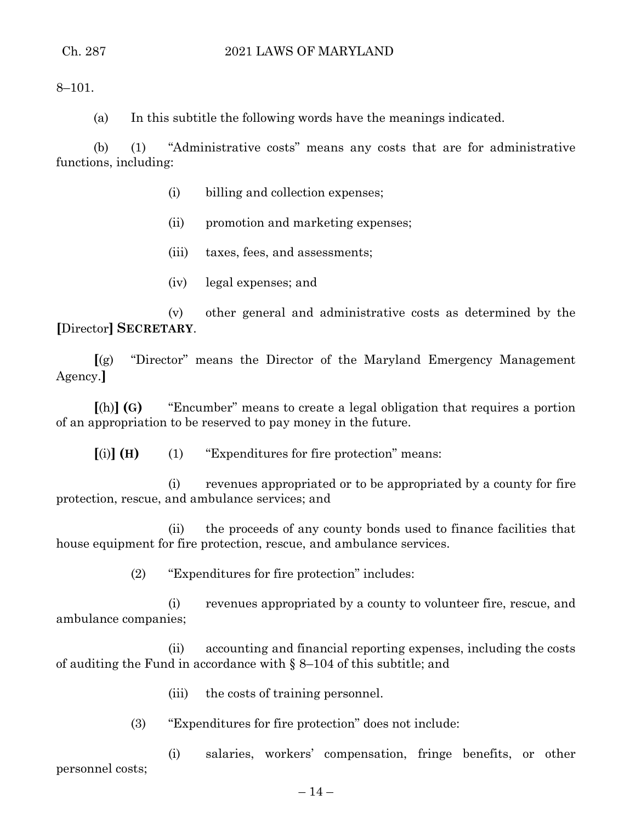8–101.

(a) In this subtitle the following words have the meanings indicated.

(b) (1) "Administrative costs" means any costs that are for administrative functions, including:

- (i) billing and collection expenses;
- (ii) promotion and marketing expenses;
- (iii) taxes, fees, and assessments;
- (iv) legal expenses; and

(v) other general and administrative costs as determined by the **[**Director**] SECRETARY**.

**[**(g) "Director" means the Director of the Maryland Emergency Management Agency.**]**

**[**(h)**] (G)** "Encumber" means to create a legal obligation that requires a portion of an appropriation to be reserved to pay money in the future.

**[**(i)**] (H)** (1) "Expenditures for fire protection" means:

(i) revenues appropriated or to be appropriated by a county for fire protection, rescue, and ambulance services; and

(ii) the proceeds of any county bonds used to finance facilities that house equipment for fire protection, rescue, and ambulance services.

(2) "Expenditures for fire protection" includes:

(i) revenues appropriated by a county to volunteer fire, rescue, and ambulance companies;

(ii) accounting and financial reporting expenses, including the costs of auditing the Fund in accordance with § 8–104 of this subtitle; and

- (iii) the costs of training personnel.
- (3) "Expenditures for fire protection" does not include:

(i) salaries, workers' compensation, fringe benefits, or other personnel costs;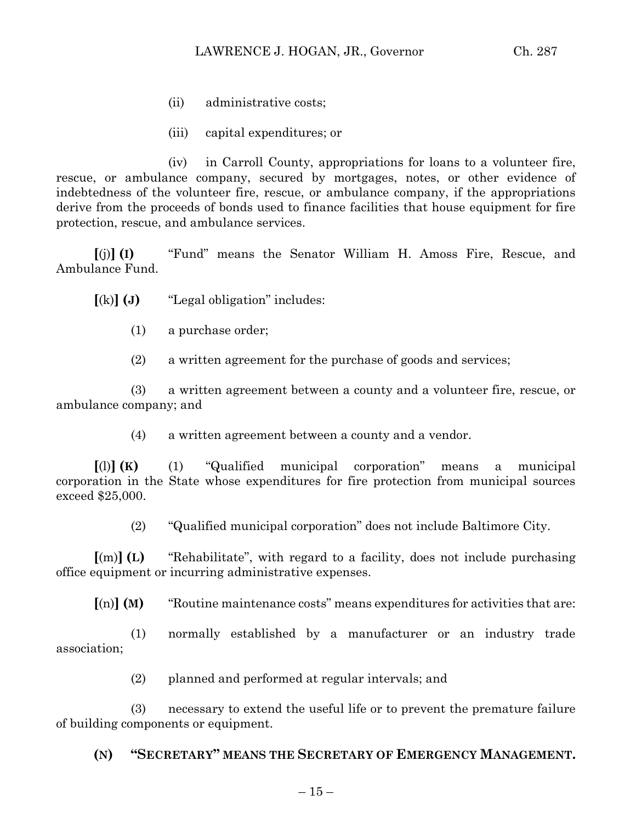- (ii) administrative costs;
- (iii) capital expenditures; or

(iv) in Carroll County, appropriations for loans to a volunteer fire, rescue, or ambulance company, secured by mortgages, notes, or other evidence of indebtedness of the volunteer fire, rescue, or ambulance company, if the appropriations derive from the proceeds of bonds used to finance facilities that house equipment for fire protection, rescue, and ambulance services.

**[**(j)**] (I)** "Fund" means the Senator William H. Amoss Fire, Rescue, and Ambulance Fund.

**[**(k)**] (J)** "Legal obligation" includes:

(1) a purchase order;

(2) a written agreement for the purchase of goods and services;

(3) a written agreement between a county and a volunteer fire, rescue, or ambulance company; and

(4) a written agreement between a county and a vendor.

**[**(l)**] (K)** (1) "Qualified municipal corporation" means a municipal corporation in the State whose expenditures for fire protection from municipal sources exceed \$25,000.

(2) "Qualified municipal corporation" does not include Baltimore City.

**[**(m)**] (L)** "Rehabilitate", with regard to a facility, does not include purchasing office equipment or incurring administrative expenses.

**[**(n)**] (M)** "Routine maintenance costs" means expenditures for activities that are:

(1) normally established by a manufacturer or an industry trade association;

(2) planned and performed at regular intervals; and

(3) necessary to extend the useful life or to prevent the premature failure of building components or equipment.

# **(N) "SECRETARY" MEANS THE SECRETARY OF EMERGENCY MANAGEMENT.**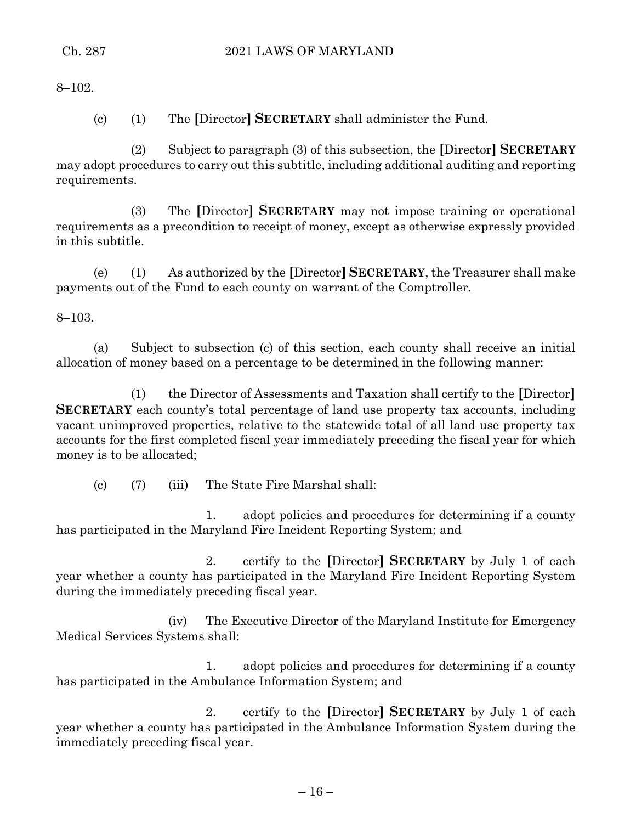8–102.

(c) (1) The **[**Director**] SECRETARY** shall administer the Fund.

(2) Subject to paragraph (3) of this subsection, the **[**Director**] SECRETARY** may adopt procedures to carry out this subtitle, including additional auditing and reporting requirements.

(3) The **[**Director**] SECRETARY** may not impose training or operational requirements as a precondition to receipt of money, except as otherwise expressly provided in this subtitle.

(e) (1) As authorized by the **[**Director**] SECRETARY**, the Treasurer shall make payments out of the Fund to each county on warrant of the Comptroller.

8–103.

(a) Subject to subsection (c) of this section, each county shall receive an initial allocation of money based on a percentage to be determined in the following manner:

(1) the Director of Assessments and Taxation shall certify to the **[**Director**] SECRETARY** each county's total percentage of land use property tax accounts, including vacant unimproved properties, relative to the statewide total of all land use property tax accounts for the first completed fiscal year immediately preceding the fiscal year for which money is to be allocated;

(c) (7) (iii) The State Fire Marshal shall:

1. adopt policies and procedures for determining if a county has participated in the Maryland Fire Incident Reporting System; and

2. certify to the **[**Director**] SECRETARY** by July 1 of each year whether a county has participated in the Maryland Fire Incident Reporting System during the immediately preceding fiscal year.

(iv) The Executive Director of the Maryland Institute for Emergency Medical Services Systems shall:

1. adopt policies and procedures for determining if a county has participated in the Ambulance Information System; and

2. certify to the **[**Director**] SECRETARY** by July 1 of each year whether a county has participated in the Ambulance Information System during the immediately preceding fiscal year.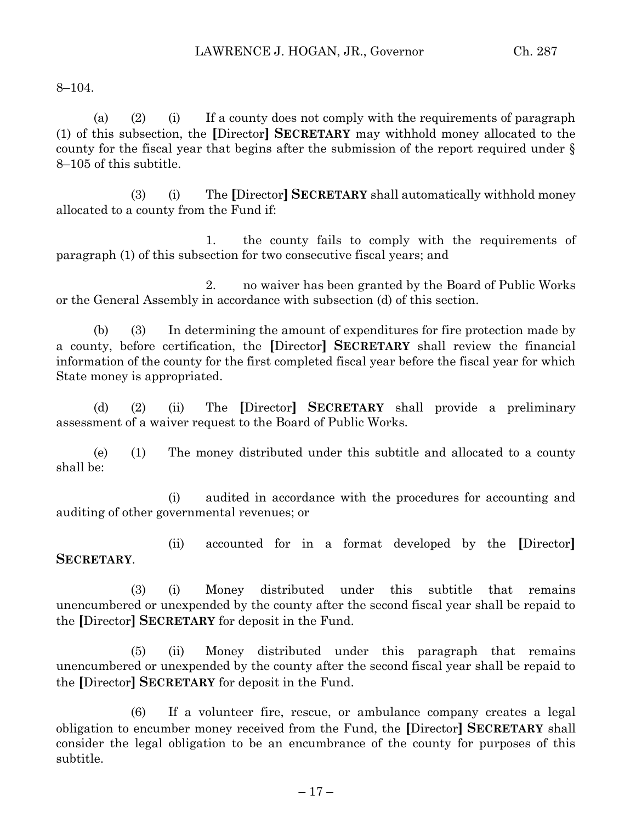8–104.

(a) (2) (i) If a county does not comply with the requirements of paragraph (1) of this subsection, the **[**Director**] SECRETARY** may withhold money allocated to the county for the fiscal year that begins after the submission of the report required under § 8–105 of this subtitle.

(3) (i) The **[**Director**] SECRETARY** shall automatically withhold money allocated to a county from the Fund if:

1. the county fails to comply with the requirements of paragraph (1) of this subsection for two consecutive fiscal years; and

2. no waiver has been granted by the Board of Public Works or the General Assembly in accordance with subsection (d) of this section.

(b) (3) In determining the amount of expenditures for fire protection made by a county, before certification, the **[**Director**] SECRETARY** shall review the financial information of the county for the first completed fiscal year before the fiscal year for which State money is appropriated.

(d) (2) (ii) The **[**Director**] SECRETARY** shall provide a preliminary assessment of a waiver request to the Board of Public Works.

(e) (1) The money distributed under this subtitle and allocated to a county shall be:

(i) audited in accordance with the procedures for accounting and auditing of other governmental revenues; or

(ii) accounted for in a format developed by the **[**Director**] SECRETARY**.

(3) (i) Money distributed under this subtitle that remains unencumbered or unexpended by the county after the second fiscal year shall be repaid to the **[**Director**] SECRETARY** for deposit in the Fund.

(5) (ii) Money distributed under this paragraph that remains unencumbered or unexpended by the county after the second fiscal year shall be repaid to the **[**Director**] SECRETARY** for deposit in the Fund.

(6) If a volunteer fire, rescue, or ambulance company creates a legal obligation to encumber money received from the Fund, the **[**Director**] SECRETARY** shall consider the legal obligation to be an encumbrance of the county for purposes of this subtitle.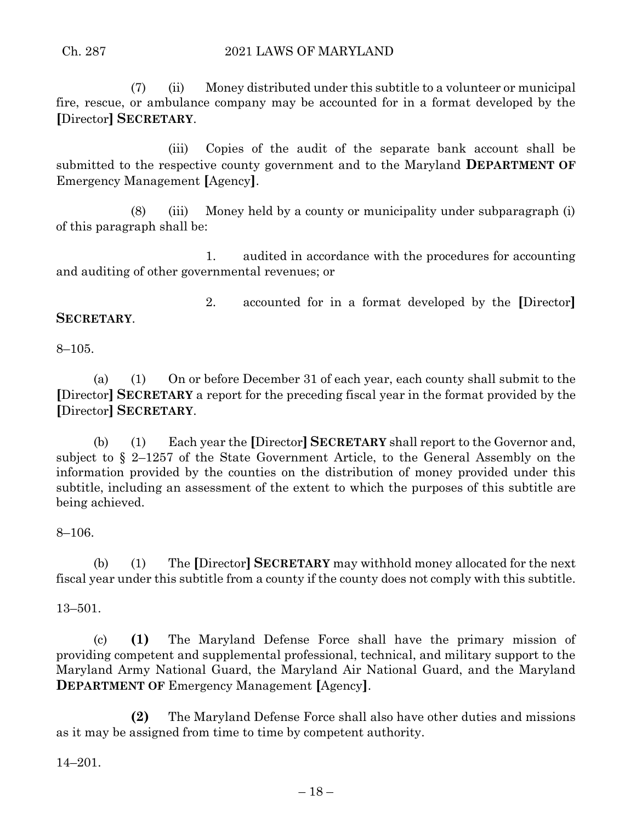(7) (ii) Money distributed under this subtitle to a volunteer or municipal fire, rescue, or ambulance company may be accounted for in a format developed by the **[**Director**] SECRETARY**.

(iii) Copies of the audit of the separate bank account shall be submitted to the respective county government and to the Maryland **DEPARTMENT OF** Emergency Management **[**Agency**]**.

(8) (iii) Money held by a county or municipality under subparagraph (i) of this paragraph shall be:

1. audited in accordance with the procedures for accounting and auditing of other governmental revenues; or

2. accounted for in a format developed by the **[**Director**] SECRETARY**.

## 8–105.

(a) (1) On or before December 31 of each year, each county shall submit to the **[**Director**] SECRETARY** a report for the preceding fiscal year in the format provided by the **[**Director**] SECRETARY**.

(b) (1) Each year the **[**Director**] SECRETARY** shall report to the Governor and, subject to § 2–1257 of the State Government Article, to the General Assembly on the information provided by the counties on the distribution of money provided under this subtitle, including an assessment of the extent to which the purposes of this subtitle are being achieved.

#### 8–106.

(b) (1) The **[**Director**] SECRETARY** may withhold money allocated for the next fiscal year under this subtitle from a county if the county does not comply with this subtitle.

#### 13–501.

(c) **(1)** The Maryland Defense Force shall have the primary mission of providing competent and supplemental professional, technical, and military support to the Maryland Army National Guard, the Maryland Air National Guard, and the Maryland **DEPARTMENT OF** Emergency Management **[**Agency**]**.

**(2)** The Maryland Defense Force shall also have other duties and missions as it may be assigned from time to time by competent authority.

14–201.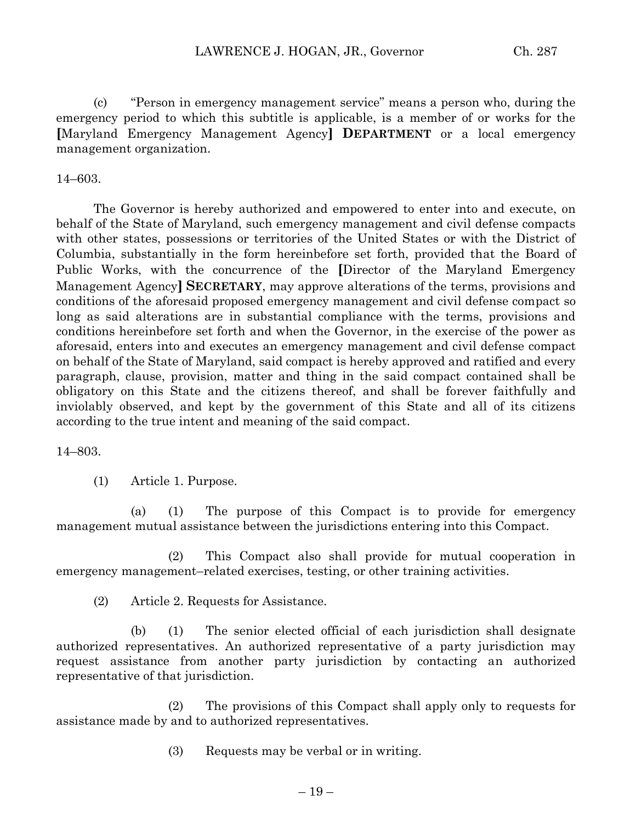(c) "Person in emergency management service" means a person who, during the emergency period to which this subtitle is applicable, is a member of or works for the **[**Maryland Emergency Management Agency**] DEPARTMENT** or a local emergency management organization.

#### 14–603.

The Governor is hereby authorized and empowered to enter into and execute, on behalf of the State of Maryland, such emergency management and civil defense compacts with other states, possessions or territories of the United States or with the District of Columbia, substantially in the form hereinbefore set forth, provided that the Board of Public Works, with the concurrence of the **[**Director of the Maryland Emergency Management Agency**] SECRETARY**, may approve alterations of the terms, provisions and conditions of the aforesaid proposed emergency management and civil defense compact so long as said alterations are in substantial compliance with the terms, provisions and conditions hereinbefore set forth and when the Governor, in the exercise of the power as aforesaid, enters into and executes an emergency management and civil defense compact on behalf of the State of Maryland, said compact is hereby approved and ratified and every paragraph, clause, provision, matter and thing in the said compact contained shall be obligatory on this State and the citizens thereof, and shall be forever faithfully and inviolably observed, and kept by the government of this State and all of its citizens according to the true intent and meaning of the said compact.

14–803.

(1) Article 1. Purpose.

(a) (1) The purpose of this Compact is to provide for emergency management mutual assistance between the jurisdictions entering into this Compact.

(2) This Compact also shall provide for mutual cooperation in emergency management–related exercises, testing, or other training activities.

(2) Article 2. Requests for Assistance.

(b) (1) The senior elected official of each jurisdiction shall designate authorized representatives. An authorized representative of a party jurisdiction may request assistance from another party jurisdiction by contacting an authorized representative of that jurisdiction.

(2) The provisions of this Compact shall apply only to requests for assistance made by and to authorized representatives.

(3) Requests may be verbal or in writing.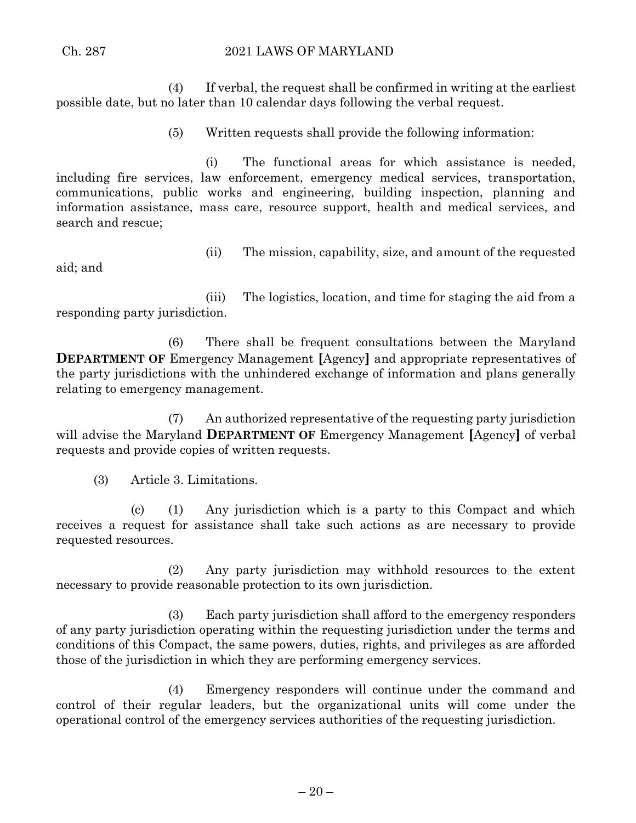(4) If verbal, the request shall be confirmed in writing at the earliest possible date, but no later than 10 calendar days following the verbal request.

(5) Written requests shall provide the following information:

(i) The functional areas for which assistance is needed, including fire services, law enforcement, emergency medical services, transportation, communications, public works and engineering, building inspection, planning and information assistance, mass care, resource support, health and medical services, and search and rescue;

aid; and

(ii) The mission, capability, size, and amount of the requested

(iii) The logistics, location, and time for staging the aid from a responding party jurisdiction.

(6) There shall be frequent consultations between the Maryland **DEPARTMENT OF Emergency Management [Agency] and appropriate representatives of** the party jurisdictions with the unhindered exchange of information and plans generally relating to emergency management.

(7) An authorized representative of the requesting party jurisdiction will advise the Maryland **DEPARTMENT OF** Emergency Management **[**Agency**]** of verbal requests and provide copies of written requests.

(3) Article 3. Limitations.

(c) (1) Any jurisdiction which is a party to this Compact and which receives a request for assistance shall take such actions as are necessary to provide requested resources.

(2) Any party jurisdiction may withhold resources to the extent necessary to provide reasonable protection to its own jurisdiction.

(3) Each party jurisdiction shall afford to the emergency responders of any party jurisdiction operating within the requesting jurisdiction under the terms and conditions of this Compact, the same powers, duties, rights, and privileges as are afforded those of the jurisdiction in which they are performing emergency services.

(4) Emergency responders will continue under the command and control of their regular leaders, but the organizational units will come under the operational control of the emergency services authorities of the requesting jurisdiction.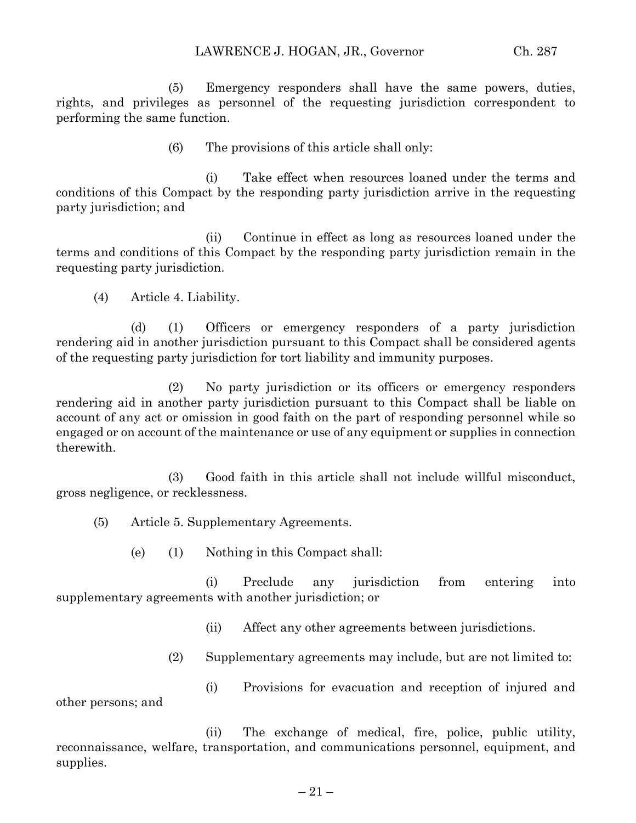(5) Emergency responders shall have the same powers, duties, rights, and privileges as personnel of the requesting jurisdiction correspondent to performing the same function.

(6) The provisions of this article shall only:

(i) Take effect when resources loaned under the terms and conditions of this Compact by the responding party jurisdiction arrive in the requesting party jurisdiction; and

(ii) Continue in effect as long as resources loaned under the terms and conditions of this Compact by the responding party jurisdiction remain in the requesting party jurisdiction.

(4) Article 4. Liability.

(d) (1) Officers or emergency responders of a party jurisdiction rendering aid in another jurisdiction pursuant to this Compact shall be considered agents of the requesting party jurisdiction for tort liability and immunity purposes.

(2) No party jurisdiction or its officers or emergency responders rendering aid in another party jurisdiction pursuant to this Compact shall be liable on account of any act or omission in good faith on the part of responding personnel while so engaged or on account of the maintenance or use of any equipment or supplies in connection therewith.

(3) Good faith in this article shall not include willful misconduct, gross negligence, or recklessness.

(5) Article 5. Supplementary Agreements.

(e) (1) Nothing in this Compact shall:

(i) Preclude any jurisdiction from entering into supplementary agreements with another jurisdiction; or

(ii) Affect any other agreements between jurisdictions.

(2) Supplementary agreements may include, but are not limited to:

(i) Provisions for evacuation and reception of injured and other persons; and

(ii) The exchange of medical, fire, police, public utility, reconnaissance, welfare, transportation, and communications personnel, equipment, and supplies.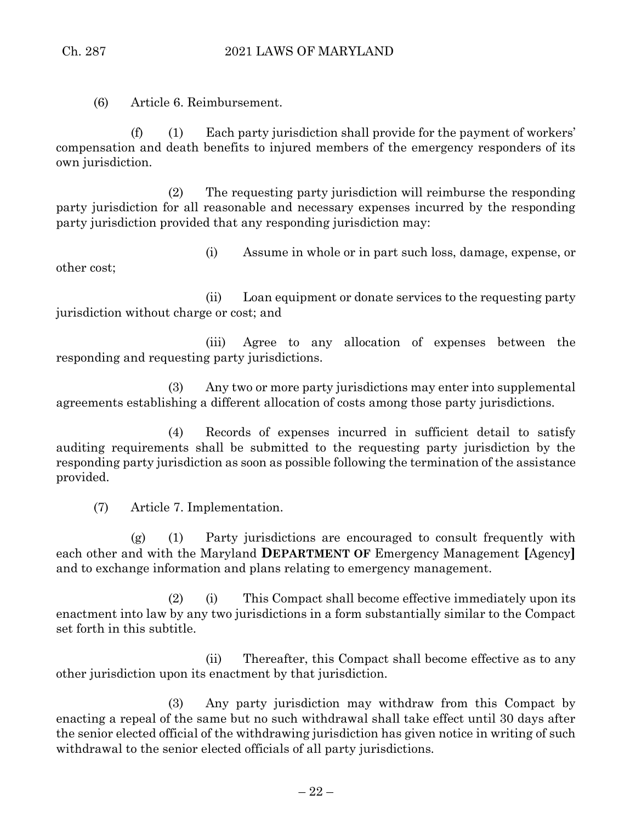(6) Article 6. Reimbursement.

(f) (1) Each party jurisdiction shall provide for the payment of workers' compensation and death benefits to injured members of the emergency responders of its own jurisdiction.

(2) The requesting party jurisdiction will reimburse the responding party jurisdiction for all reasonable and necessary expenses incurred by the responding party jurisdiction provided that any responding jurisdiction may:

(i) Assume in whole or in part such loss, damage, expense, or other cost;

(ii) Loan equipment or donate services to the requesting party jurisdiction without charge or cost; and

(iii) Agree to any allocation of expenses between the responding and requesting party jurisdictions.

(3) Any two or more party jurisdictions may enter into supplemental agreements establishing a different allocation of costs among those party jurisdictions.

(4) Records of expenses incurred in sufficient detail to satisfy auditing requirements shall be submitted to the requesting party jurisdiction by the responding party jurisdiction as soon as possible following the termination of the assistance provided.

(7) Article 7. Implementation.

(g) (1) Party jurisdictions are encouraged to consult frequently with each other and with the Maryland **DEPARTMENT OF** Emergency Management **[**Agency**]** and to exchange information and plans relating to emergency management.

(2) (i) This Compact shall become effective immediately upon its enactment into law by any two jurisdictions in a form substantially similar to the Compact set forth in this subtitle.

(ii) Thereafter, this Compact shall become effective as to any other jurisdiction upon its enactment by that jurisdiction.

(3) Any party jurisdiction may withdraw from this Compact by enacting a repeal of the same but no such withdrawal shall take effect until 30 days after the senior elected official of the withdrawing jurisdiction has given notice in writing of such withdrawal to the senior elected officials of all party jurisdictions.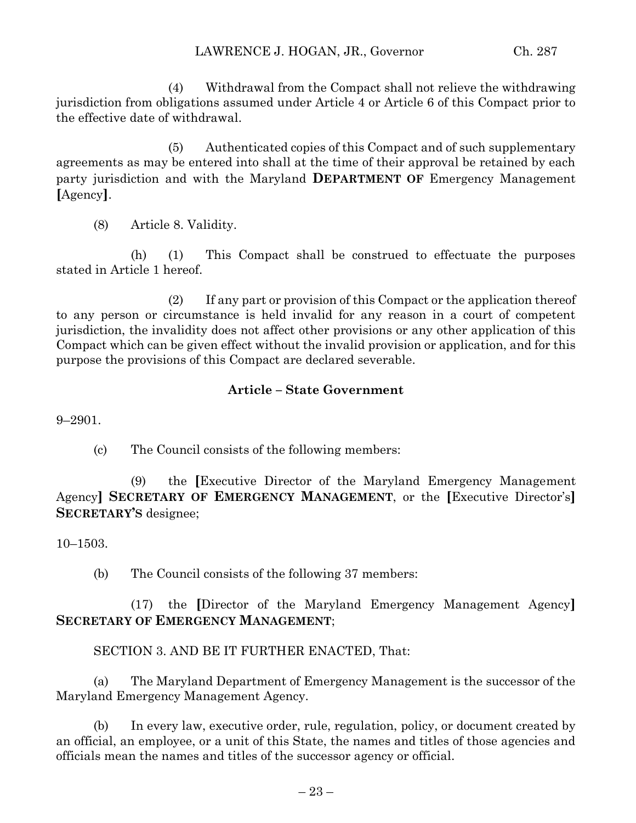(4) Withdrawal from the Compact shall not relieve the withdrawing jurisdiction from obligations assumed under Article 4 or Article 6 of this Compact prior to the effective date of withdrawal.

(5) Authenticated copies of this Compact and of such supplementary agreements as may be entered into shall at the time of their approval be retained by each party jurisdiction and with the Maryland **DEPARTMENT OF** Emergency Management **[**Agency**]**.

(8) Article 8. Validity.

(h) (1) This Compact shall be construed to effectuate the purposes stated in Article 1 hereof.

(2) If any part or provision of this Compact or the application thereof to any person or circumstance is held invalid for any reason in a court of competent jurisdiction, the invalidity does not affect other provisions or any other application of this Compact which can be given effect without the invalid provision or application, and for this purpose the provisions of this Compact are declared severable.

#### **Article – State Government**

9–2901.

(c) The Council consists of the following members:

(9) the **[**Executive Director of the Maryland Emergency Management Agency**] SECRETARY OF EMERGENCY MANAGEMENT**, or the **[**Executive Director's**] SECRETARY'S** designee;

10–1503.

(b) The Council consists of the following 37 members:

(17) the **[**Director of the Maryland Emergency Management Agency**] SECRETARY OF EMERGENCY MANAGEMENT**;

SECTION 3. AND BE IT FURTHER ENACTED, That:

(a) The Maryland Department of Emergency Management is the successor of the Maryland Emergency Management Agency.

(b) In every law, executive order, rule, regulation, policy, or document created by an official, an employee, or a unit of this State, the names and titles of those agencies and officials mean the names and titles of the successor agency or official.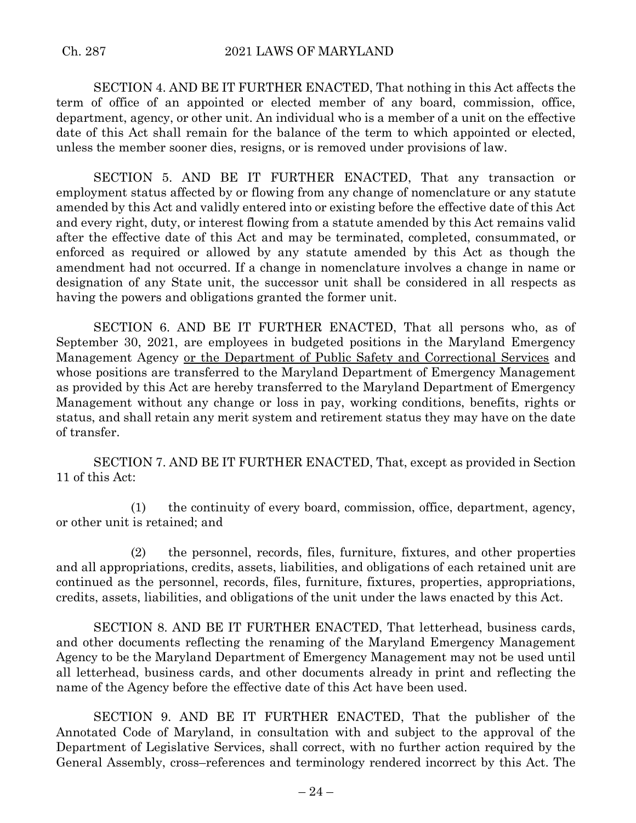SECTION 4. AND BE IT FURTHER ENACTED, That nothing in this Act affects the term of office of an appointed or elected member of any board, commission, office, department, agency, or other unit. An individual who is a member of a unit on the effective date of this Act shall remain for the balance of the term to which appointed or elected, unless the member sooner dies, resigns, or is removed under provisions of law.

SECTION 5. AND BE IT FURTHER ENACTED, That any transaction or employment status affected by or flowing from any change of nomenclature or any statute amended by this Act and validly entered into or existing before the effective date of this Act and every right, duty, or interest flowing from a statute amended by this Act remains valid after the effective date of this Act and may be terminated, completed, consummated, or enforced as required or allowed by any statute amended by this Act as though the amendment had not occurred. If a change in nomenclature involves a change in name or designation of any State unit, the successor unit shall be considered in all respects as having the powers and obligations granted the former unit.

SECTION 6. AND BE IT FURTHER ENACTED, That all persons who, as of September 30, 2021, are employees in budgeted positions in the Maryland Emergency Management Agency or the Department of Public Safety and Correctional Services and whose positions are transferred to the Maryland Department of Emergency Management as provided by this Act are hereby transferred to the Maryland Department of Emergency Management without any change or loss in pay, working conditions, benefits, rights or status, and shall retain any merit system and retirement status they may have on the date of transfer.

SECTION 7. AND BE IT FURTHER ENACTED, That, except as provided in Section 11 of this Act:

(1) the continuity of every board, commission, office, department, agency, or other unit is retained; and

(2) the personnel, records, files, furniture, fixtures, and other properties and all appropriations, credits, assets, liabilities, and obligations of each retained unit are continued as the personnel, records, files, furniture, fixtures, properties, appropriations, credits, assets, liabilities, and obligations of the unit under the laws enacted by this Act.

SECTION 8. AND BE IT FURTHER ENACTED, That letterhead, business cards, and other documents reflecting the renaming of the Maryland Emergency Management Agency to be the Maryland Department of Emergency Management may not be used until all letterhead, business cards, and other documents already in print and reflecting the name of the Agency before the effective date of this Act have been used.

SECTION 9. AND BE IT FURTHER ENACTED, That the publisher of the Annotated Code of Maryland, in consultation with and subject to the approval of the Department of Legislative Services, shall correct, with no further action required by the General Assembly, cross–references and terminology rendered incorrect by this Act. The